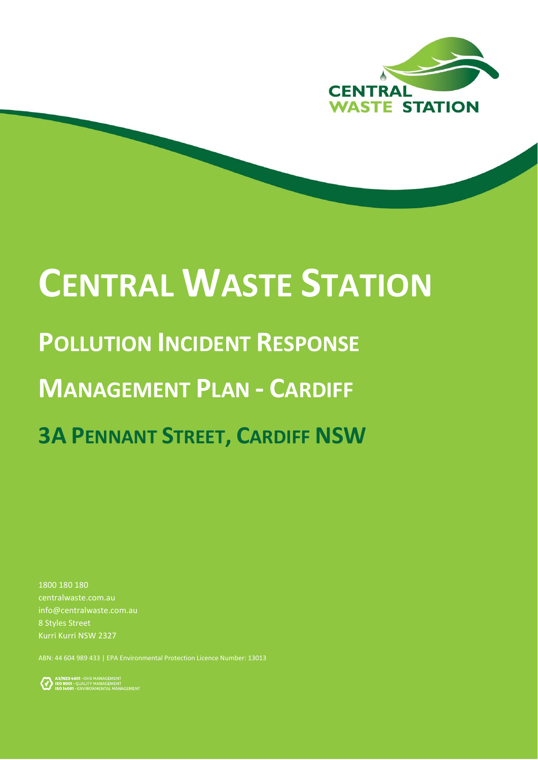

# **CENTRAL WASTE STATION**

# **POLLUTION INCIDENT RESPONSE**

# **MANAGEMENT PLAN - CARDIFF**

# **3A PENNANT STREET, CARDIFF NSW**

1800 180 180 centralwaste.com.au info@centralwaste.com.au 8 Styles Street Kurri Kurri NSW 2327

ABN: 44 604 989 433 | EPA Environmental Protection Licence Number: 13013

AS/NZS 4801 - OHS MANAGEMENT<br>ISO 9001 - QUALITY MANAGEMENT<br>ISO 14001 - ENVIRONMENTAL MANAGEMENT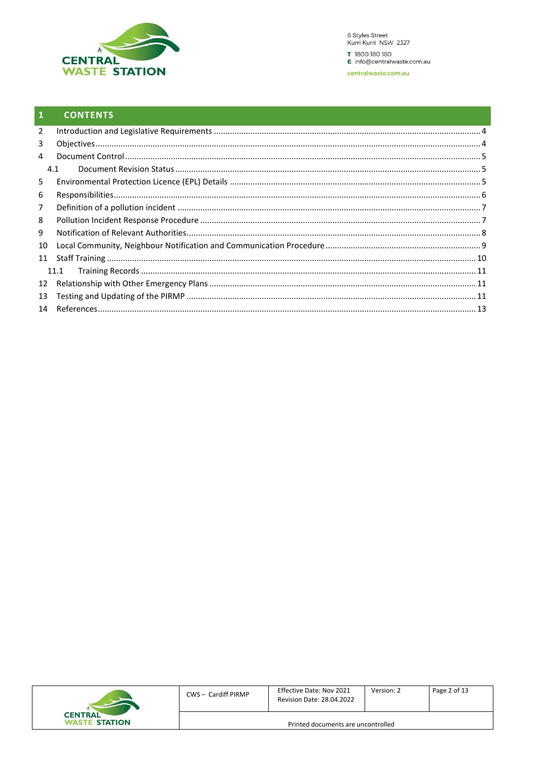

#### $\mathbf{1}$ **CONTENTS**

| $\overline{2}$ |      |  |
|----------------|------|--|
| 3              |      |  |
| 4              |      |  |
|                | 4.1  |  |
| 5              |      |  |
| 6              |      |  |
| $\overline{7}$ |      |  |
| 8              |      |  |
| 9              |      |  |
| 10             |      |  |
| 11             |      |  |
|                | 11.1 |  |
| 12             |      |  |
| 13             |      |  |
|                |      |  |

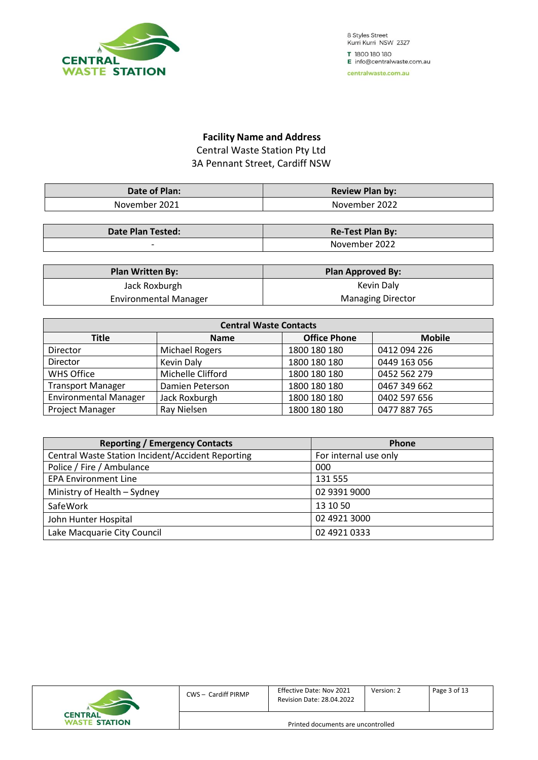

#### **Facility Name and Address** Central Waste Station Pty Ltd 3A Pennant Street, Cardiff NSW

| Date of Plan: | <b>Review Plan by:</b> |
|---------------|------------------------|
| November 2021 | November 2022          |

| <b>Date Plan Tested:</b> | <b>Re-Test Plan By:</b> |
|--------------------------|-------------------------|
|                          | 2022<br>November :      |

| <b>Plan Written By:</b>      | <b>Plan Approved By:</b> |
|------------------------------|--------------------------|
| Jack Roxburgh                | Kevin Daly               |
| <b>Environmental Manager</b> | <b>Managing Director</b> |

| <b>Central Waste Contacts</b>                                |                       |              |              |  |  |
|--------------------------------------------------------------|-----------------------|--------------|--------------|--|--|
| <b>Office Phone</b><br><b>Mobile</b><br>Title<br><b>Name</b> |                       |              |              |  |  |
| Director                                                     | <b>Michael Rogers</b> | 1800 180 180 | 0412 094 226 |  |  |
| Director                                                     | Kevin Daly            | 1800 180 180 | 0449 163 056 |  |  |
| <b>WHS Office</b>                                            | Michelle Clifford     | 1800 180 180 | 0452 562 279 |  |  |
| <b>Transport Manager</b>                                     | Damien Peterson       | 1800 180 180 | 0467 349 662 |  |  |
| <b>Environmental Manager</b>                                 | Jack Roxburgh         | 1800 180 180 | 0402 597 656 |  |  |
| Project Manager                                              | Ray Nielsen           | 1800 180 180 | 0477 887 765 |  |  |

| <b>Reporting / Emergency Contacts</b>                    | Phone                 |
|----------------------------------------------------------|-----------------------|
| <b>Central Waste Station Incident/Accident Reporting</b> | For internal use only |
| Police / Fire / Ambulance                                | 000                   |
| <b>EPA Environment Line</b>                              | 131 555               |
| Ministry of Health - Sydney                              | 02 9391 9000          |
| SafeWork                                                 | 13 10 50              |
| John Hunter Hospital                                     | 02 4921 3000          |
| Lake Macquarie City Council                              | 02 4921 0333          |

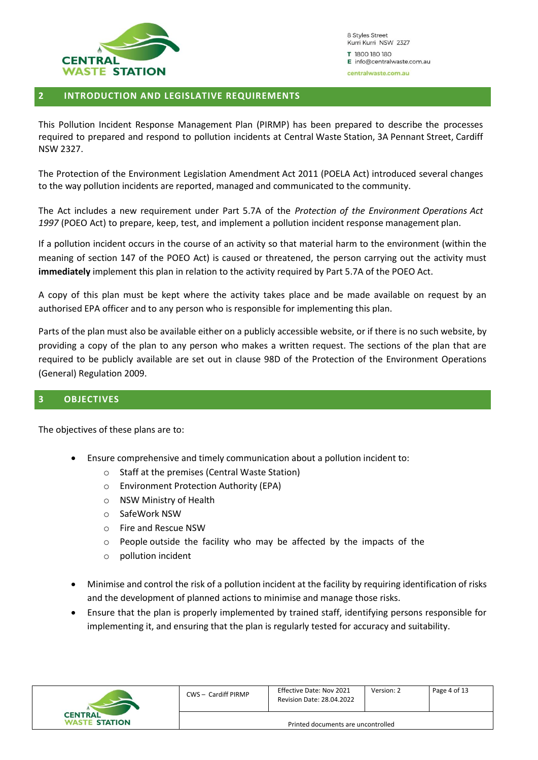

#### <span id="page-3-0"></span>**2 INTRODUCTION AND LEGISLATIVE REQUIREMENTS**

This Pollution Incident Response Management Plan (PIRMP) has been prepared to describe the processes required to prepared and respond to pollution incidents at Central Waste Station, 3A Pennant Street, Cardiff NSW 2327.

The Protection of the Environment Legislation Amendment Act 2011 (POELA Act) introduced several changes to the way pollution incidents are reported, managed and communicated to the community.

The Act includes a new requirement under Part 5.7A of the *Protection of the Environment Operations Act 1997* (POEO Act) to prepare, keep, test, and implement a pollution incident response management plan.

If a pollution incident occurs in the course of an activity so that material harm to the environment (within the meaning of section 147 of the POEO Act) is caused or threatened, the person carrying out the activity must **immediately** implement this plan in relation to the activity required by Part 5.7A of the POEO Act.

A copy of this plan must be kept where the activity takes place and be made available on request by an authorised EPA officer and to any person who is responsible for implementing this plan.

Parts of the plan must also be available either on a publicly accessible website, or if there is no such website, by providing a copy of the plan to any person who makes a written request. The sections of the plan that are required to be publicly available are set out in clause 98D of the Protection of the Environment Operations (General) Regulation 2009.

#### <span id="page-3-1"></span>**3 OBJECTIVES**

The objectives of these plans are to:

- Ensure comprehensive and timely communication about a pollution incident to:
	- o Staff at the premises (Central Waste Station)
	- o Environment Protection Authority (EPA)
	- o NSW Ministry of Health
	- o SafeWork NSW
	- o Fire and Rescue NSW
	- o People outside the facility who may be affected by the impacts of the
	- o pollution incident
- Minimise and control the risk of a pollution incident at the facility by requiring identification of risks and the development of planned actions to minimise and manage those risks.
- Ensure that the plan is properly implemented by trained staff, identifying persons responsible for implementing it, and ensuring that the plan is regularly tested for accuracy and suitability.

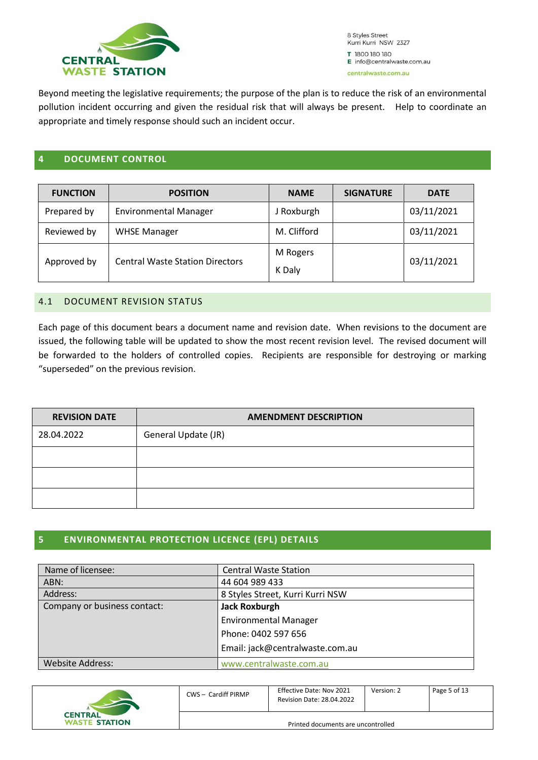

Beyond meeting the legislative requirements; the purpose of the plan is to reduce the risk of an environmental pollution incident occurring and given the residual risk that will always be present. Help to coordinate an appropriate and timely response should such an incident occur.

#### <span id="page-4-0"></span>**4 DOCUMENT CONTROL**

| <b>FUNCTION</b> | <b>POSITION</b>                        | <b>NAME</b>        | <b>SIGNATURE</b> | <b>DATE</b> |
|-----------------|----------------------------------------|--------------------|------------------|-------------|
| Prepared by     | <b>Environmental Manager</b>           | J Roxburgh         |                  | 03/11/2021  |
| Reviewed by     | <b>WHSE Manager</b>                    | M. Clifford        |                  | 03/11/2021  |
| Approved by     | <b>Central Waste Station Directors</b> | M Rogers<br>K Daly |                  | 03/11/2021  |

#### <span id="page-4-1"></span>4.1 DOCUMENT REVISION STATUS

Each page of this document bears a document name and revision date. When revisions to the document are issued, the following table will be updated to show the most recent revision level. The revised document will be forwarded to the holders of controlled copies. Recipients are responsible for destroying or marking "superseded" on the previous revision.

| <b>REVISION DATE</b> | <b>AMENDMENT DESCRIPTION</b> |  |  |
|----------------------|------------------------------|--|--|
| 28.04.2022           | General Update (JR)          |  |  |
|                      |                              |  |  |
|                      |                              |  |  |
|                      |                              |  |  |

#### <span id="page-4-2"></span>**5 ENVIRONMENTAL PROTECTION LICENCE (EPL) DETAILS**

| Name of licensee:            | <b>Central Waste Station</b>     |
|------------------------------|----------------------------------|
| ABN:                         | 44 604 989 433                   |
| Address:                     | 8 Styles Street, Kurri Kurri NSW |
| Company or business contact: | <b>Jack Roxburgh</b>             |
|                              | <b>Environmental Manager</b>     |
|                              | Phone: 0402 597 656              |
|                              | Email: jack@centralwaste.com.au  |
| <b>Website Address:</b>      | www.centralwaste.com.au          |

|                                        | CWS - Cardiff PIRMP                | Effective Date: Nov 2021<br><b>Revision Date: 28.04.2022</b> | Version: 2 | Page 5 of 13 |
|----------------------------------------|------------------------------------|--------------------------------------------------------------|------------|--------------|
| <b>CENTRAL</b><br><b>WASTE STATION</b> | Printed documents are uncontrolled |                                                              |            |              |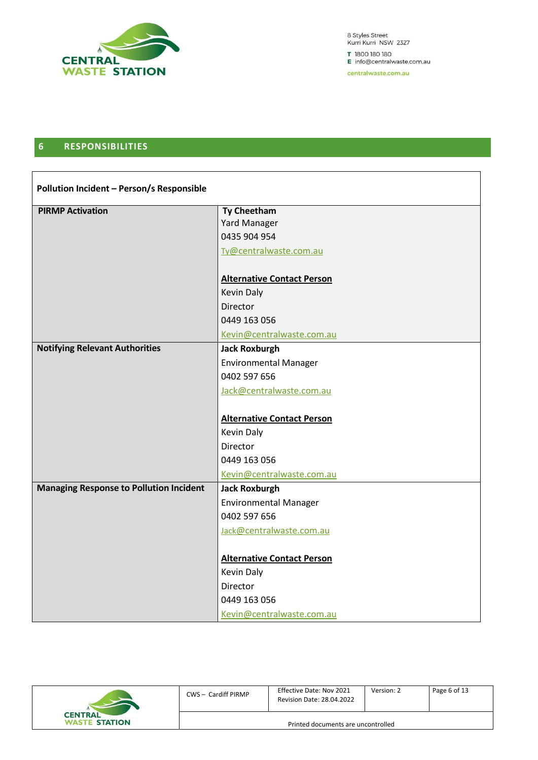

8 Styles Street<br>Kurri Kurri NSW 2327 T 1800 180 180 E info@centralwaste.com.au

centralwaste.com.au

#### <span id="page-5-0"></span>**6 RESPONSIBILITIES**

| Pollution Incident - Person/s Responsible      |                                   |  |  |
|------------------------------------------------|-----------------------------------|--|--|
| <b>PIRMP Activation</b>                        | <b>Ty Cheetham</b>                |  |  |
|                                                | Yard Manager                      |  |  |
|                                                | 0435 904 954                      |  |  |
|                                                | Ty@centralwaste.com.au            |  |  |
|                                                | <b>Alternative Contact Person</b> |  |  |
|                                                | <b>Kevin Daly</b>                 |  |  |
|                                                | Director                          |  |  |
|                                                | 0449 163 056                      |  |  |
|                                                | Kevin@centralwaste.com.au         |  |  |
| <b>Notifying Relevant Authorities</b>          | <b>Jack Roxburgh</b>              |  |  |
|                                                | <b>Environmental Manager</b>      |  |  |
|                                                | 0402 597 656                      |  |  |
|                                                | Jack@centralwaste.com.au          |  |  |
|                                                |                                   |  |  |
|                                                | <b>Alternative Contact Person</b> |  |  |
|                                                | <b>Kevin Daly</b>                 |  |  |
|                                                | Director                          |  |  |
|                                                | 0449 163 056                      |  |  |
|                                                | Kevin@centralwaste.com.au         |  |  |
| <b>Managing Response to Pollution Incident</b> | <b>Jack Roxburgh</b>              |  |  |
|                                                | <b>Environmental Manager</b>      |  |  |
|                                                | 0402 597 656                      |  |  |
|                                                | Jack@centralwaste.com.au          |  |  |
|                                                |                                   |  |  |
|                                                | <b>Alternative Contact Person</b> |  |  |
|                                                | <b>Kevin Daly</b>                 |  |  |
|                                                | Director                          |  |  |
|                                                | 0449 163 056                      |  |  |
|                                                | Kevin@centralwaste.com.au         |  |  |

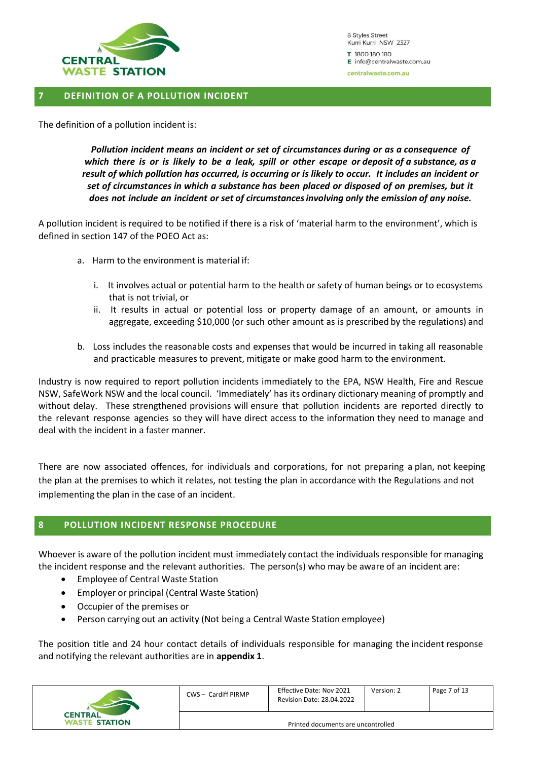

#### <span id="page-6-0"></span>**7 DEFINITION OF A POLLUTION INCIDENT**

The definition of a pollution incident is:

*Pollution incident means an incident or set of circumstances during or as a consequence of* which there is or is likely to be a leak, spill or other escape or deposit of a substance, as a *result of which pollution has occurred, is occurring or is likely to occur. It includes an incident or set of circumstances in which a substance has been placed or disposed of on premises, but it does not include an incident or set of circumstancesinvolving only the emission of any noise.*

A pollution incident is required to be notified if there is a risk of 'material harm to the environment', which is defined in section 147 of the POEO Act as:

- a. Harm to the environment is material if:
	- i. It involves actual or potential harm to the health or safety of human beings or to ecosystems that is not trivial, or
	- ii. It results in actual or potential loss or property damage of an amount, or amounts in aggregate, exceeding \$10,000 (or such other amount as is prescribed by the regulations) and
- b. Loss includes the reasonable costs and expenses that would be incurred in taking all reasonable and practicable measures to prevent, mitigate or make good harm to the environment.

Industry is now required to report pollution incidents immediately to the EPA, NSW Health, Fire and Rescue NSW, SafeWork NSW and the local council. 'Immediately' has its ordinary dictionary meaning of promptly and without delay. These strengthened provisions will ensure that pollution incidents are reported directly to the relevant response agencies so they will have direct access to the information they need to manage and deal with the incident in a faster manner.

There are now associated offences, for individuals and corporations, for not preparing a plan, not keeping the plan at the premises to which it relates, not testing the plan in accordance with the Regulations and not implementing the plan in the case of an incident.

#### <span id="page-6-1"></span>**8 POLLUTION INCIDENT RESPONSE PROCEDURE**

Whoever is aware of the pollution incident must immediately contact the individuals responsible for managing the incident response and the relevant authorities. The person(s) who may be aware of an incident are:

- Employee of Central Waste Station
- Employer or principal (Central Waste Station)
- Occupier of the premises or
- Person carrying out an activity (Not being a Central Waste Station employee)

The position title and 24 hour contact details of individuals responsible for managing the incident response and notifying the relevant authorities are in **appendix 1**.

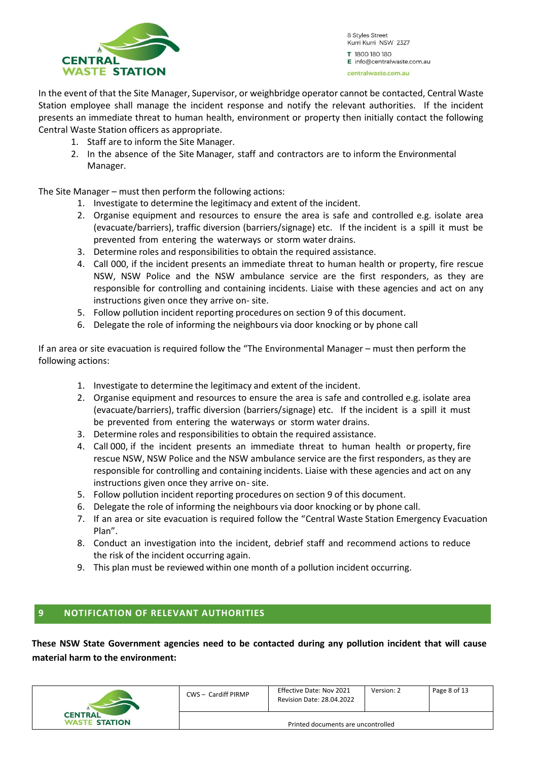

In the event of that the Site Manager, Supervisor, or weighbridge operator cannot be contacted, Central Waste Station employee shall manage the incident response and notify the relevant authorities. If the incident presents an immediate threat to human health, environment or property then initially contact the following Central Waste Station officers as appropriate.

- 1. Staff are to inform the Site Manager.
- 2. In the absence of the Site Manager, staff and contractors are to inform the Environmental Manager.

The Site Manager – must then perform the following actions:

- 1. Investigate to determine the legitimacy and extent of the incident.
- 2. Organise equipment and resources to ensure the area is safe and controlled e.g. isolate area (evacuate/barriers), traffic diversion (barriers/signage) etc. If the incident is a spill it must be prevented from entering the waterways or storm water drains.
- 3. Determine roles and responsibilities to obtain the required assistance.
- 4. Call 000, if the incident presents an immediate threat to human health or property, fire rescue NSW, NSW Police and the NSW ambulance service are the first responders, as they are responsible for controlling and containing incidents. Liaise with these agencies and act on any instructions given once they arrive on- site.
- 5. Follow pollution incident reporting procedures on section 9 of this document.
- 6. Delegate the role of informing the neighbours via door knocking or by phone call

If an area or site evacuation is required follow the "The Environmental Manager – must then perform the following actions:

- 1. Investigate to determine the legitimacy and extent of the incident.
- 2. Organise equipment and resources to ensure the area is safe and controlled e.g. isolate area (evacuate/barriers), traffic diversion (barriers/signage) etc. If the incident is a spill it must be prevented from entering the waterways or storm water drains.
- 3. Determine roles and responsibilities to obtain the required assistance.
- 4. Call 000, if the incident presents an immediate threat to human health or property, fire rescue NSW, NSW Police and the NSW ambulance service are the first responders, as they are responsible for controlling and containing incidents. Liaise with these agencies and act on any instructions given once they arrive on- site.
- 5. Follow pollution incident reporting procedures on section 9 of this document.
- 6. Delegate the role of informing the neighbours via door knocking or by phone call.
- 7. If an area or site evacuation is required follow the "Central Waste Station Emergency Evacuation Plan".
- 8. Conduct an investigation into the incident, debrief staff and recommend actions to reduce the risk of the incident occurring again.
- 9. This plan must be reviewed within one month of a pollution incident occurring.

#### <span id="page-7-0"></span>**9 NOTIFICATION OF RELEVANT AUTHORITIES**

**These NSW State Government agencies need to be contacted during any pollution incident that will cause material harm to the environment:**

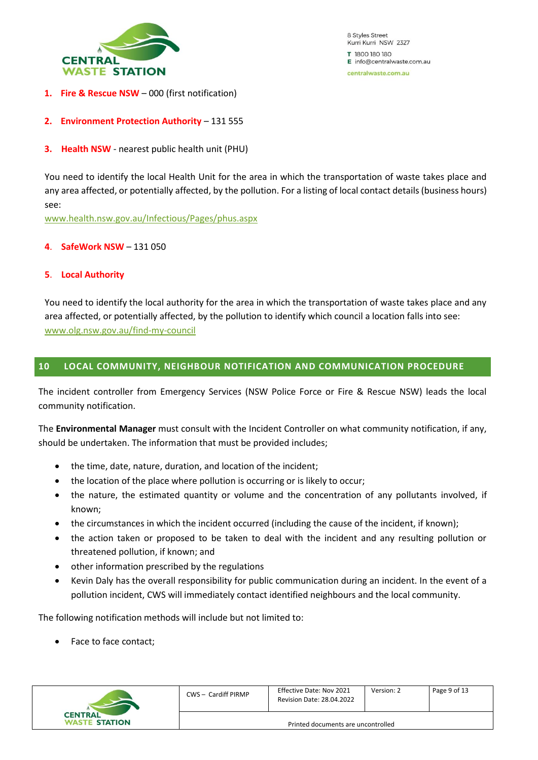

- **1. Fire & Rescue NSW** 000 (first notification)
- **2. Environment Protection Authority** 131 555
- **3. Health NSW** nearest public health unit (PHU)

You need to identify the local Health Unit for the area in which the transportation of waste takes place and any area affected, or potentially affected, by the pollution. For a listing of local contact details (business hours) see:

[www.health.nsw.gov.au/Infectious/Pages/phus.aspx](http://www.health.nsw.gov.au/Infectious/Pages/phus.aspx)

#### **4**. **SafeWork NSW** – 131 050

#### **5**. **Local Authority**

You need to identify the local authority for the area in which the transportation of waste takes place and any area affected, or potentially affected, by the pollution to identify which council a location falls into see: [www.olg.nsw.gov.au/find-my-council](http://www.olg.nsw.gov.au/find-my-council)

#### <span id="page-8-0"></span>**10 LOCAL COMMUNITY, NEIGHBOUR NOTIFICATION AND COMMUNICATION PROCEDURE**

The incident controller from Emergency Services (NSW Police Force or Fire & Rescue NSW) leads the local community notification.

The **Environmental Manager** must consult with the Incident Controller on what community notification, if any, should be undertaken. The information that must be provided includes;

- the time, date, nature, duration, and location of the incident;
- the location of the place where pollution is occurring or is likely to occur;
- the nature, the estimated quantity or volume and the concentration of any pollutants involved, if known;
- the circumstances in which the incident occurred (including the cause of the incident, if known);
- the action taken or proposed to be taken to deal with the incident and any resulting pollution or threatened pollution, if known; and
- other information prescribed by the regulations
- Kevin Daly has the overall responsibility for public communication during an incident. In the event of a pollution incident, CWS will immediately contact identified neighbours and the local community.

The following notification methods will include but not limited to:

Face to face contact;



| CWS - Cardiff PIRMP                | Effective Date: Nov 2021<br><b>Revision Date: 28.04.2022</b> | Version: 2 | Page 9 of 13 |  |  |
|------------------------------------|--------------------------------------------------------------|------------|--------------|--|--|
| Printed documents are uncontrolled |                                                              |            |              |  |  |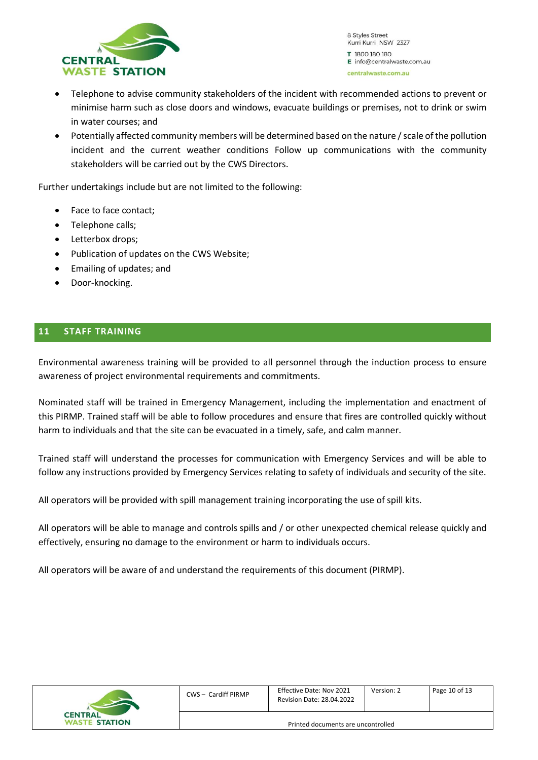

- Telephone to advise community stakeholders of the incident with recommended actions to prevent or minimise harm such as close doors and windows, evacuate buildings or premises, not to drink or swim in water courses; and
- Potentially affected community members will be determined based on the nature / scale of the pollution incident and the current weather conditions Follow up communications with the community stakeholders will be carried out by the CWS Directors.

Further undertakings include but are not limited to the following:

- Face to face contact;
- Telephone calls;
- Letterbox drops;
- Publication of updates on the CWS Website;
- Emailing of updates; and
- Door-knocking.

#### <span id="page-9-0"></span>**11 STAFF TRAINING**

Environmental awareness training will be provided to all personnel through the induction process to ensure awareness of project environmental requirements and commitments.

Nominated staff will be trained in Emergency Management, including the implementation and enactment of this PIRMP. Trained staff will be able to follow procedures and ensure that fires are controlled quickly without harm to individuals and that the site can be evacuated in a timely, safe, and calm manner.

Trained staff will understand the processes for communication with Emergency Services and will be able to follow any instructions provided by Emergency Services relating to safety of individuals and security of the site.

All operators will be provided with spill management training incorporating the use of spill kits.

All operators will be able to manage and controls spills and / or other unexpected chemical release quickly and effectively, ensuring no damage to the environment or harm to individuals occurs.

All operators will be aware of and understand the requirements of this document (PIRMP).

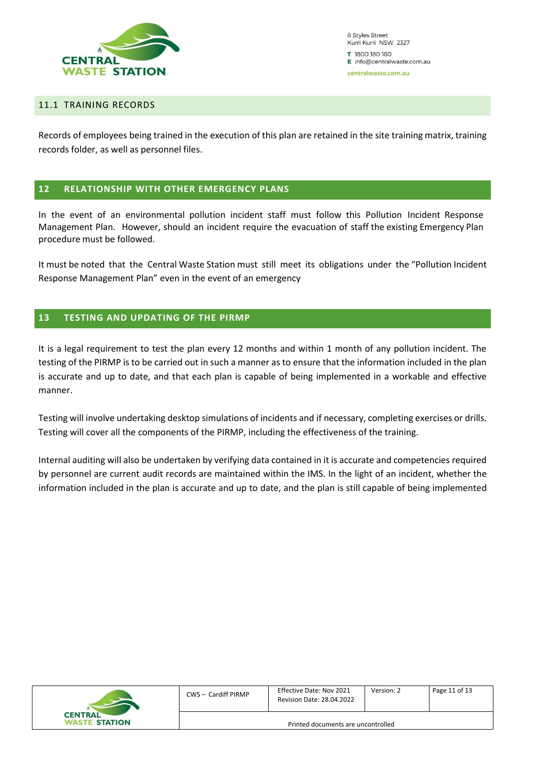

#### <span id="page-10-0"></span>11.1 TRAINING RECORDS

Records of employees being trained in the execution of this plan are retained in the site training matrix, training records folder, as well as personnel files.

#### <span id="page-10-1"></span>**12 RELATIONSHIP WITH OTHER EMERGENCY PLANS**

In the event of an environmental pollution incident staff must follow this Pollution Incident Response Management Plan. However, should an incident require the evacuation of staff the existing Emergency Plan procedure must be followed.

It must be noted that the Central Waste Station must still meet its obligations under the "Pollution Incident Response Management Plan" even in the event of an emergency

#### <span id="page-10-2"></span>**13 TESTING AND UPDATING OF THE PIRMP**

It is a legal requirement to test the plan every 12 months and within 1 month of any pollution incident. The testing of the PIRMP is to be carried out in such a manner as to ensure that the information included in the plan is accurate and up to date, and that each plan is capable of being implemented in a workable and effective manner.

Testing will involve undertaking desktop simulations of incidents and if necessary, completing exercises or drills. Testing will cover all the components of the PIRMP, including the effectiveness of the training.

Internal auditing will also be undertaken by verifying data contained in it is accurate and competencies required by personnel are current audit records are maintained within the IMS. In the light of an incident, whether the information included in the plan is accurate and up to date, and the plan is still capable of being implemented

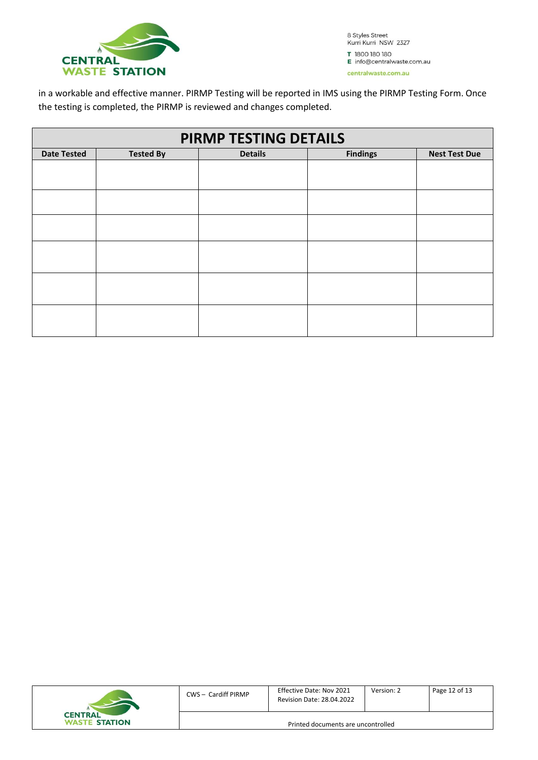

in a workable and effective manner. PIRMP Testing will be reported in IMS using the PIRMP Testing Form. Once the testing is completed, the PIRMP is reviewed and changes completed.

| PIRMP TESTING DETAILS |                  |                |                 |                      |  |  |  |
|-----------------------|------------------|----------------|-----------------|----------------------|--|--|--|
| <b>Date Tested</b>    | <b>Tested By</b> | <b>Details</b> | <b>Findings</b> | <b>Nest Test Due</b> |  |  |  |
|                       |                  |                |                 |                      |  |  |  |
|                       |                  |                |                 |                      |  |  |  |
|                       |                  |                |                 |                      |  |  |  |
|                       |                  |                |                 |                      |  |  |  |
|                       |                  |                |                 |                      |  |  |  |
|                       |                  |                |                 |                      |  |  |  |
|                       |                  |                |                 |                      |  |  |  |
|                       |                  |                |                 |                      |  |  |  |
|                       |                  |                |                 |                      |  |  |  |
|                       |                  |                |                 |                      |  |  |  |
|                       |                  |                |                 |                      |  |  |  |
|                       |                  |                |                 |                      |  |  |  |
|                       |                  |                |                 |                      |  |  |  |

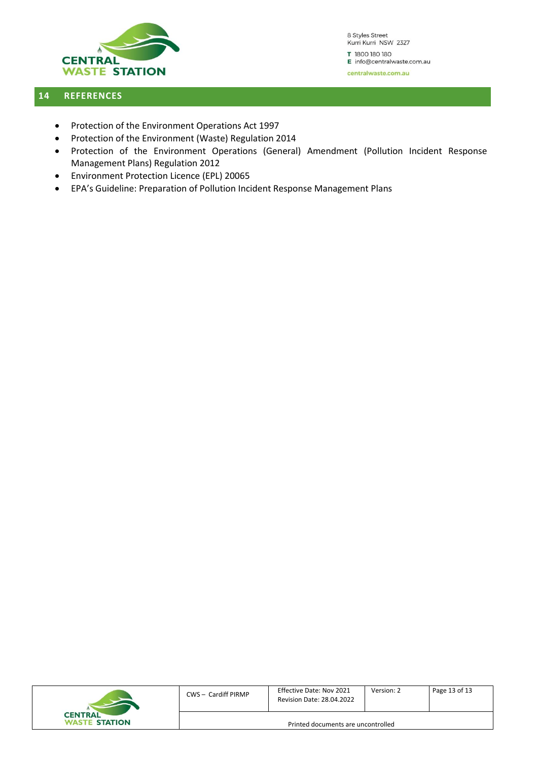

#### <span id="page-12-0"></span>**14 REFERENCES**

- Protection of the Environment Operations Act 1997
- Protection of the Environment (Waste) Regulation 2014
- Protection of the Environment Operations (General) Amendment (Pollution Incident Response Management Plans) Regulation 2012
- Environment Protection Licence (EPL) 20065
- EPA's Guideline: Preparation of Pollution Incident Response Management Plans

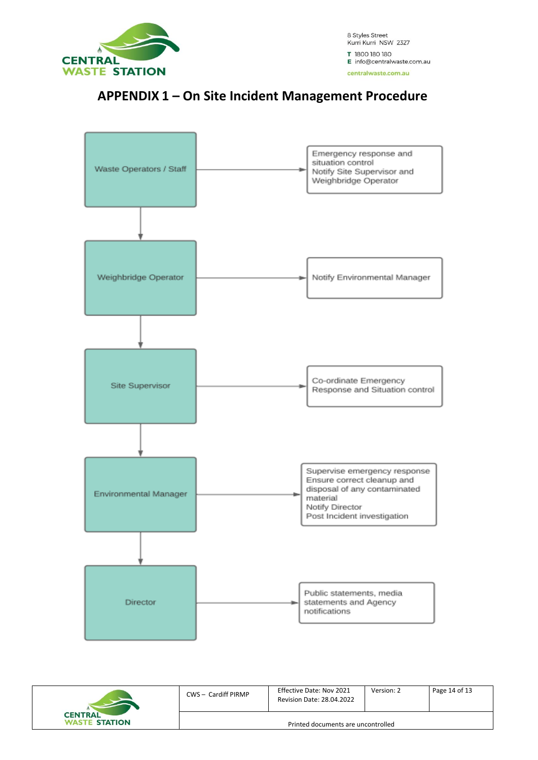

### **APPENDIX 1 – On Site Incident Management Procedure**



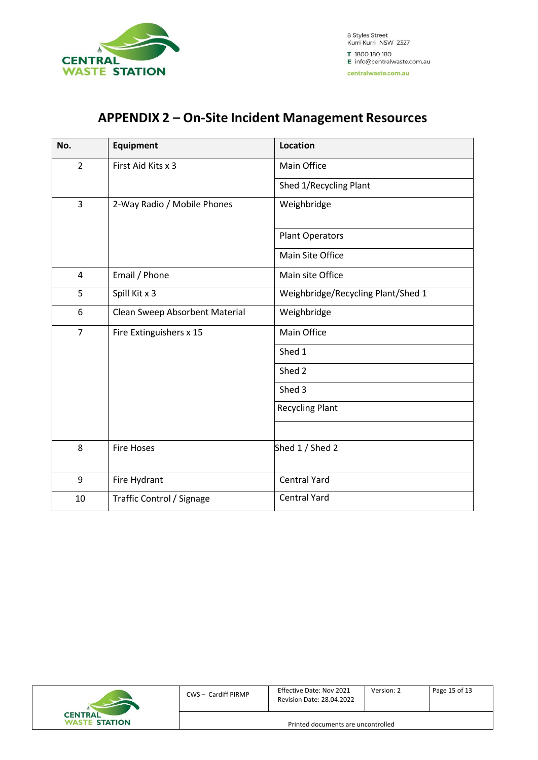

## **APPENDIX 2 – On-Site Incident Management Resources**

| No.            | <b>Equipment</b>               | <b>Location</b>                    |
|----------------|--------------------------------|------------------------------------|
| $\overline{2}$ | First Aid Kits x 3             | Main Office                        |
|                |                                | Shed 1/Recycling Plant             |
| $\mathsf{3}$   | 2-Way Radio / Mobile Phones    | Weighbridge                        |
|                |                                | Plant Operators                    |
|                |                                | Main Site Office                   |
| $\overline{4}$ | Email / Phone                  | Main site Office                   |
| 5              | Spill Kit x 3                  | Weighbridge/Recycling Plant/Shed 1 |
| 6              | Clean Sweep Absorbent Material | Weighbridge                        |
| $\overline{7}$ | Fire Extinguishers x 15        | Main Office                        |
|                |                                | Shed 1                             |
|                |                                | Shed 2                             |
|                |                                | Shed 3                             |
|                |                                | <b>Recycling Plant</b>             |
|                |                                |                                    |
| 8              | <b>Fire Hoses</b>              | Shed 1 / Shed 2                    |
| 9              | Fire Hydrant                   | <b>Central Yard</b>                |
| 10             | Traffic Control / Signage      | <b>Central Yard</b>                |